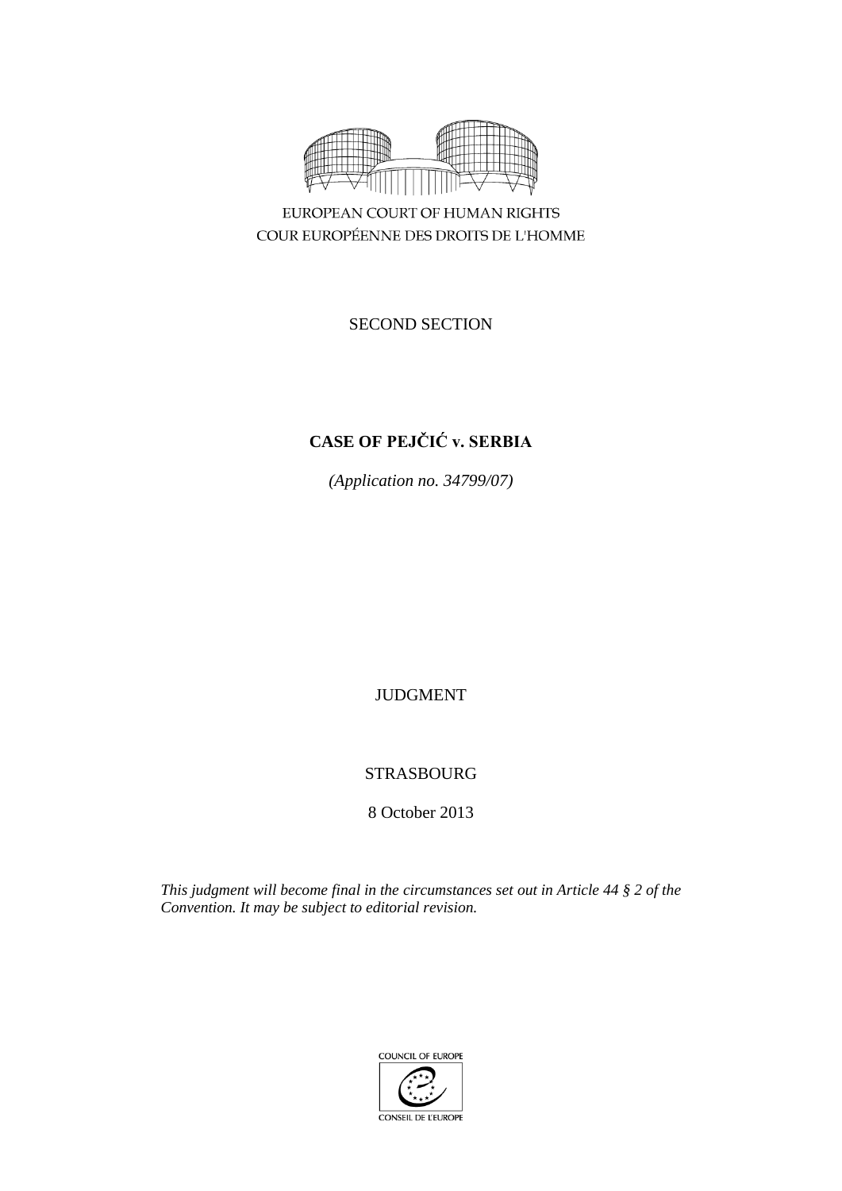

EUROPEAN COURT OF HUMAN RIGHTS COUR EUROPÉENNE DES DROITS DE L'HOMME

SECOND SECTION

# **CASE OF PEJČIĆ v. SERBIA**

*(Application no. 34799/07)*

JUDGMENT

# STRASBOURG

8 October 2013

*This judgment will become final in the circumstances set out in Article 44 § 2 of the Convention. It may be subject to editorial revision.*

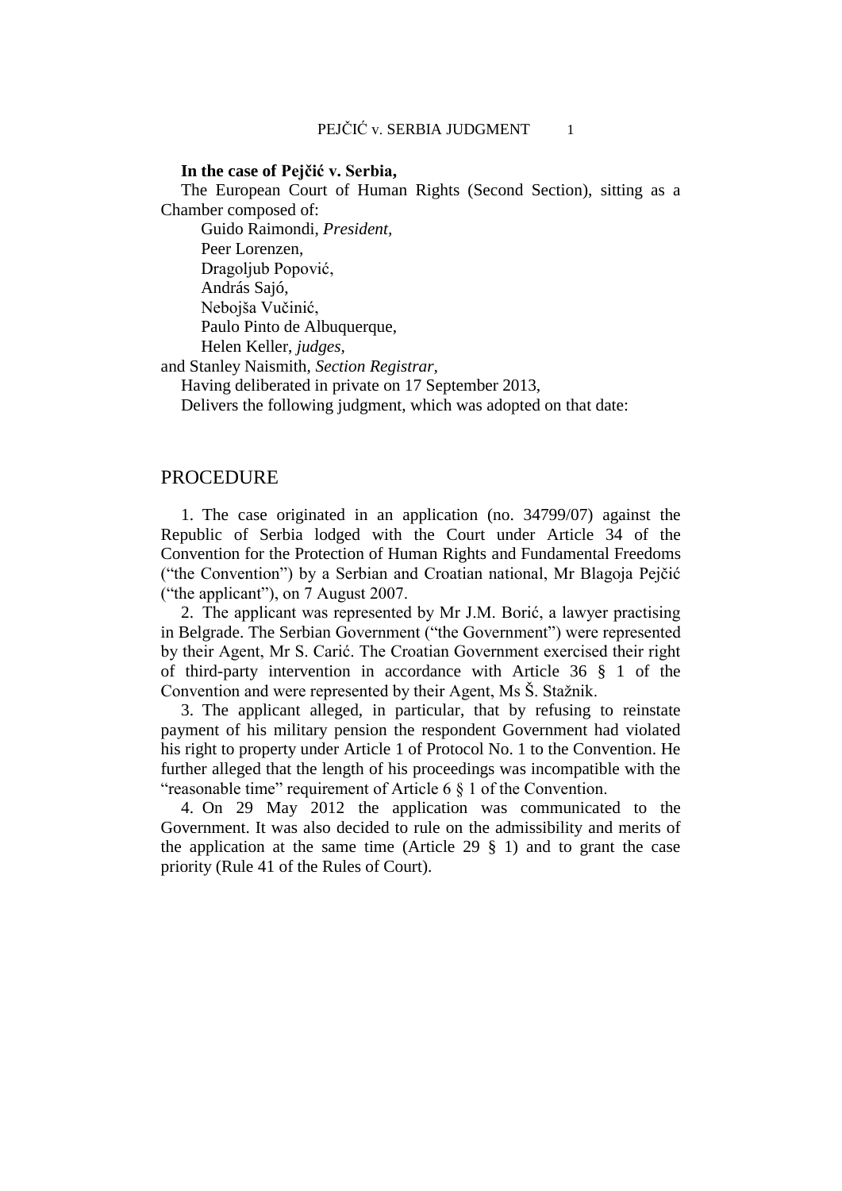## **In the case of Pejčić v. Serbia,**

The European Court of Human Rights (Second Section), sitting as a Chamber composed of:

Guido Raimondi, *President,* Peer Lorenzen, Dragoljub Popović, András Sajó, Nebojša Vučinić, Paulo Pinto de Albuquerque, Helen Keller, *judges,*

and Stanley Naismith, *Section Registrar,*

Having deliberated in private on 17 September 2013,

Delivers the following judgment, which was adopted on that date:

# PROCEDURE

1. The case originated in an application (no. 34799/07) against the Republic of Serbia lodged with the Court under Article 34 of the Convention for the Protection of Human Rights and Fundamental Freedoms ("the Convention") by a Serbian and Croatian national, Mr Blagoja Pejčić ("the applicant"), on 7 August 2007.

2. The applicant was represented by Mr J.M. Borić, a lawyer practising in Belgrade. The Serbian Government ("the Government") were represented by their Agent, Mr S. Carić. The Croatian Government exercised their right of third-party intervention in accordance with Article 36 § 1 of the Convention and were represented by their Agent, Ms Š. Stažnik.

3. The applicant alleged, in particular, that by refusing to reinstate payment of his military pension the respondent Government had violated his right to property under Article 1 of Protocol No. 1 to the Convention. He further alleged that the length of his proceedings was incompatible with the "reasonable time" requirement of Article 6 § 1 of the Convention.

4. On 29 May 2012 the application was communicated to the Government. It was also decided to rule on the admissibility and merits of the application at the same time (Article 29  $\S$  1) and to grant the case priority (Rule 41 of the Rules of Court).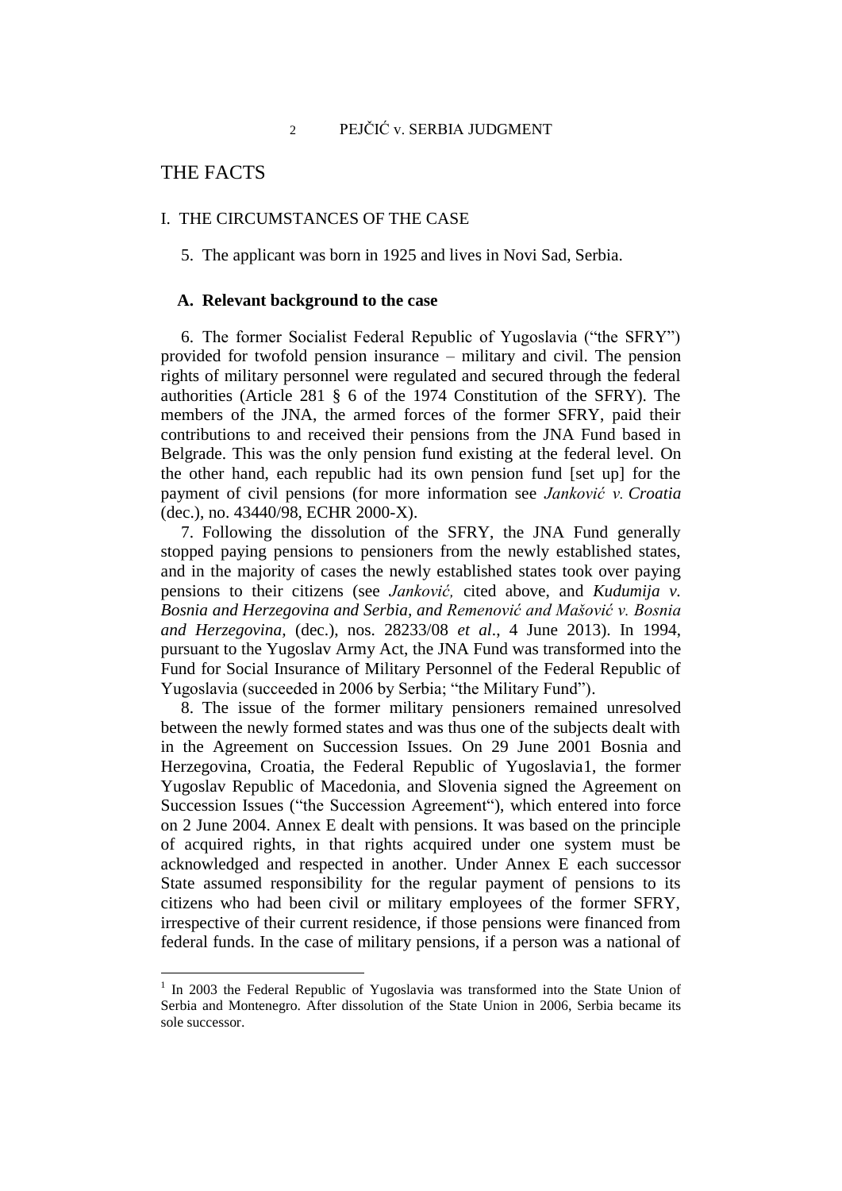# THE FACTS

 $\overline{a}$ 

### I. THE CIRCUMSTANCES OF THE CASE

5. The applicant was born in 1925 and lives in Novi Sad, Serbia.

## **A. Relevant background to the case**

6. The former Socialist Federal Republic of Yugoslavia ("the SFRY") provided for twofold pension insurance – military and civil. The pension rights of military personnel were regulated and secured through the federal authorities (Article 281 § 6 of the 1974 Constitution of the SFRY). The members of the JNA, the armed forces of the former SFRY, paid their contributions to and received their pensions from the JNA Fund based in Belgrade. This was the only pension fund existing at the federal level. On the other hand, each republic had its own pension fund [set up] for the payment of civil pensions (for more information see *Janković v. Croatia*  (dec.), no. 43440/98, ECHR 2000-X).

7. Following the dissolution of the SFRY, the JNA Fund generally stopped paying pensions to pensioners from the newly established states, and in the majority of cases the newly established states took over paying pensions to their citizens (see *Janković,* cited above, and *Kudumija v. Bosnia and Herzegovina and Serbia, and Remenović and Mašović v. Bosnia and Herzegovina,* (dec.), nos. 28233/08 *et al*., 4 June 2013). In 1994, pursuant to the Yugoslav Army Act, the JNA Fund was transformed into the Fund for Social Insurance of Military Personnel of the Federal Republic of Yugoslavia (succeeded in 2006 by Serbia; "the Military Fund").

8. The issue of the former military pensioners remained unresolved between the newly formed states and was thus one of the subjects dealt with in the Agreement on Succession Issues. On 29 June 2001 Bosnia and Herzegovina, Croatia, the Federal Republic of Yugoslavia1, the former Yugoslav Republic of Macedonia, and Slovenia signed the Agreement on Succession Issues ("the Succession Agreement"), which entered into force on 2 June 2004. Annex E dealt with pensions. It was based on the principle of acquired rights, in that rights acquired under one system must be acknowledged and respected in another. Under Annex E each successor State assumed responsibility for the regular payment of pensions to its citizens who had been civil or military employees of the former SFRY, irrespective of their current residence, if those pensions were financed from federal funds. In the case of military pensions, if a person was a national of

<sup>&</sup>lt;sup>1</sup> In 2003 the Federal Republic of Yugoslavia was transformed into the State Union of Serbia and Montenegro. After dissolution of the State Union in 2006, Serbia became its sole successor.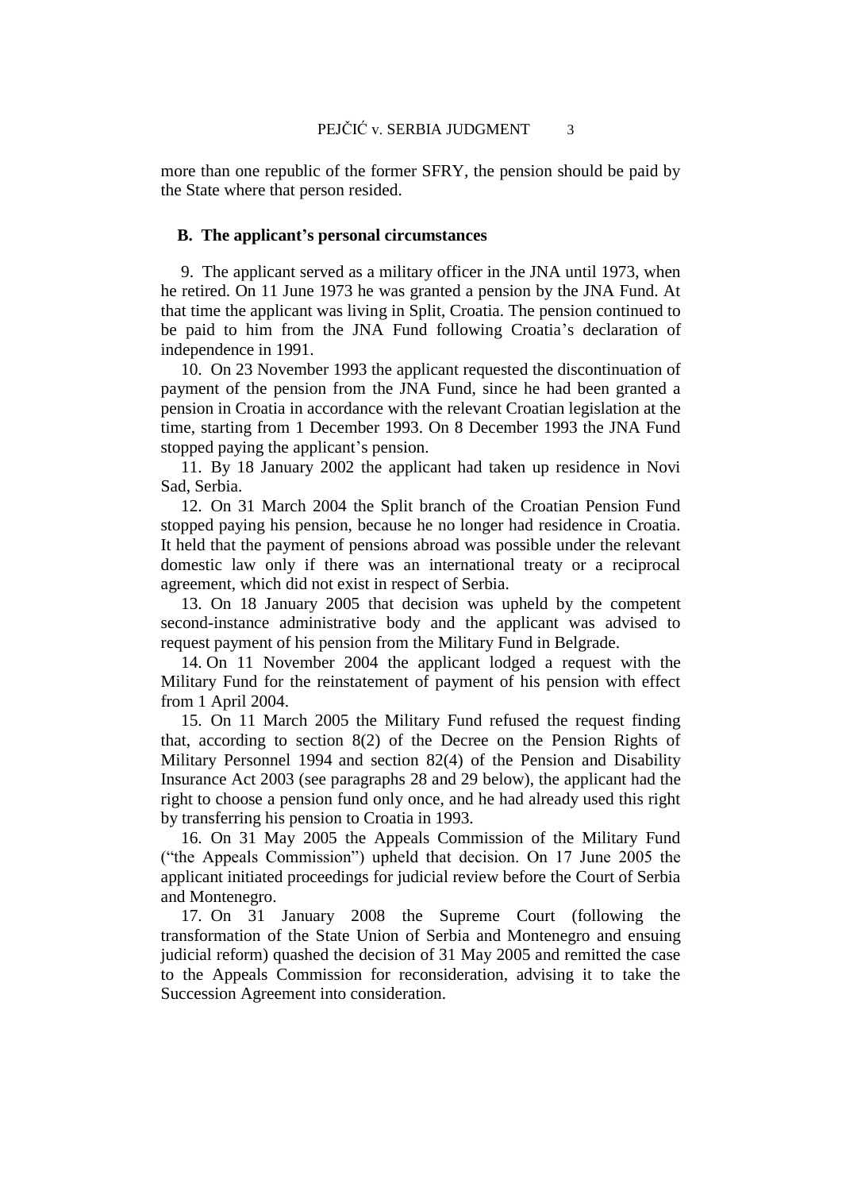more than one republic of the former SFRY, the pension should be paid by the State where that person resided.

#### **B. The applicant's personal circumstances**

9. The applicant served as a military officer in the JNA until 1973, when he retired. On 11 June 1973 he was granted a pension by the JNA Fund. At that time the applicant was living in Split, Croatia. The pension continued to be paid to him from the JNA Fund following Croatia's declaration of independence in 1991.

10. On 23 November 1993 the applicant requested the discontinuation of payment of the pension from the JNA Fund, since he had been granted a pension in Croatia in accordance with the relevant Croatian legislation at the time, starting from 1 December 1993. On 8 December 1993 the JNA Fund stopped paying the applicant's pension.

11. By 18 January 2002 the applicant had taken up residence in Novi Sad, Serbia.

12. On 31 March 2004 the Split branch of the Croatian Pension Fund stopped paying his pension, because he no longer had residence in Croatia. It held that the payment of pensions abroad was possible under the relevant domestic law only if there was an international treaty or a reciprocal agreement, which did not exist in respect of Serbia.

13. On 18 January 2005 that decision was upheld by the competent second-instance administrative body and the applicant was advised to request payment of his pension from the Military Fund in Belgrade.

14. On 11 November 2004 the applicant lodged a request with the Military Fund for the reinstatement of payment of his pension with effect from 1 April 2004.

15. On 11 March 2005 the Military Fund refused the request finding that, according to section 8(2) of the Decree on the Pension Rights of Military Personnel 1994 and section 82(4) of the Pension and Disability Insurance Act 2003 (see paragraphs 28 and 29 below), the applicant had the right to choose a pension fund only once, and he had already used this right by transferring his pension to Croatia in 1993.

16. On 31 May 2005 the Appeals Commission of the Military Fund ("the Appeals Commission") upheld that decision. On 17 June 2005 the applicant initiated proceedings for judicial review before the Court of Serbia and Montenegro.

17. On 31 January 2008 the Supreme Court (following the transformation of the State Union of Serbia and Montenegro and ensuing judicial reform) quashed the decision of 31 May 2005 and remitted the case to the Appeals Commission for reconsideration, advising it to take the Succession Agreement into consideration.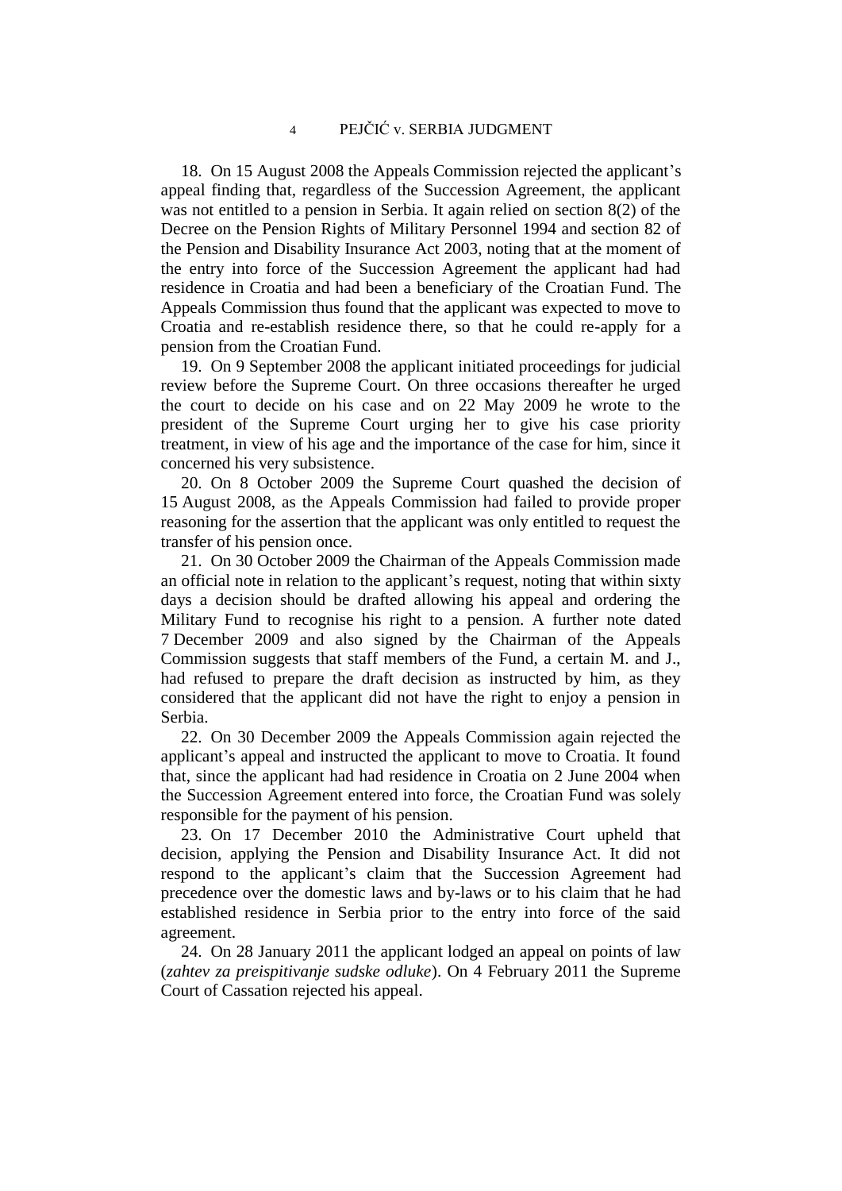18. On 15 August 2008 the Appeals Commission rejected the applicant's appeal finding that, regardless of the Succession Agreement, the applicant was not entitled to a pension in Serbia. It again relied on section 8(2) of the Decree on the Pension Rights of Military Personnel 1994 and section 82 of the Pension and Disability Insurance Act 2003, noting that at the moment of the entry into force of the Succession Agreement the applicant had had residence in Croatia and had been a beneficiary of the Croatian Fund. The Appeals Commission thus found that the applicant was expected to move to Croatia and re-establish residence there, so that he could re-apply for a pension from the Croatian Fund.

19. On 9 September 2008 the applicant initiated proceedings for judicial review before the Supreme Court. On three occasions thereafter he urged the court to decide on his case and on 22 May 2009 he wrote to the president of the Supreme Court urging her to give his case priority treatment, in view of his age and the importance of the case for him, since it concerned his very subsistence.

20. On 8 October 2009 the Supreme Court quashed the decision of 15 August 2008, as the Appeals Commission had failed to provide proper reasoning for the assertion that the applicant was only entitled to request the transfer of his pension once.

21. On 30 October 2009 the Chairman of the Appeals Commission made an official note in relation to the applicant's request, noting that within sixty days a decision should be drafted allowing his appeal and ordering the Military Fund to recognise his right to a pension. A further note dated 7 December 2009 and also signed by the Chairman of the Appeals Commission suggests that staff members of the Fund, a certain M. and J., had refused to prepare the draft decision as instructed by him, as they considered that the applicant did not have the right to enjoy a pension in Serbia.

22. On 30 December 2009 the Appeals Commission again rejected the applicant's appeal and instructed the applicant to move to Croatia. It found that, since the applicant had had residence in Croatia on 2 June 2004 when the Succession Agreement entered into force, the Croatian Fund was solely responsible for the payment of his pension.

23. On 17 December 2010 the Administrative Court upheld that decision, applying the Pension and Disability Insurance Act. It did not respond to the applicant's claim that the Succession Agreement had precedence over the domestic laws and by-laws or to his claim that he had established residence in Serbia prior to the entry into force of the said agreement.

24. On 28 January 2011 the applicant lodged an appeal on points of law (*zahtev za preispitivanje sudske odluke*). On 4 February 2011 the Supreme Court of Cassation rejected his appeal.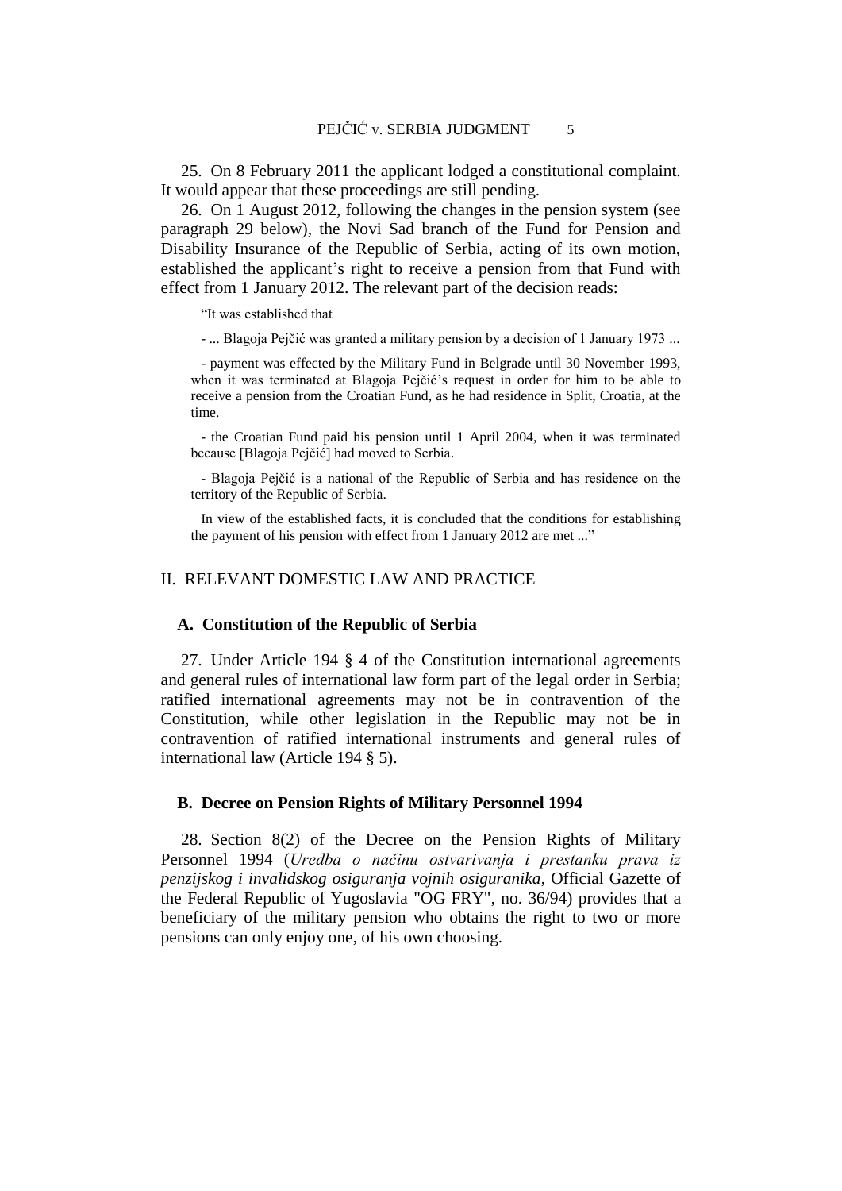25. On 8 February 2011 the applicant lodged a constitutional complaint. It would appear that these proceedings are still pending.

26. On 1 August 2012, following the changes in the pension system (see paragraph 29 below), the Novi Sad branch of the Fund for Pension and Disability Insurance of the Republic of Serbia, acting of its own motion, established the applicant's right to receive a pension from that Fund with effect from 1 January 2012. The relevant part of the decision reads:

"It was established that

- ... Blagoja Pejčić was granted a military pension by a decision of 1 January 1973 ...

- payment was effected by the Military Fund in Belgrade until 30 November 1993, when it was terminated at Blagoja Pejčić's request in order for him to be able to receive a pension from the Croatian Fund, as he had residence in Split, Croatia, at the time.

- the Croatian Fund paid his pension until 1 April 2004, when it was terminated because [Blagoja Pejčić] had moved to Serbia.

- Blagoja Pejčić is a national of the Republic of Serbia and has residence on the territory of the Republic of Serbia.

In view of the established facts, it is concluded that the conditions for establishing the payment of his pension with effect from 1 January 2012 are met ..."

## II. RELEVANT DOMESTIC LAW AND PRACTICE

#### **A. Constitution of the Republic of Serbia**

27. Under Article 194 § 4 of the Constitution international agreements and general rules of international law form part of the legal order in Serbia; ratified international agreements may not be in contravention of the Constitution, while other legislation in the Republic may not be in contravention of ratified international instruments and general rules of international law (Article 194 § 5).

### **B. Decree on Pension Rights of Military Personnel 1994**

28. Section 8(2) of the Decree on the Pension Rights of Military Personnel 1994 (*Uredba o načinu ostvarivanja i prestanku prava iz penzijskog i invalidskog osiguranja vojnih osiguranika*, Official Gazette of the Federal Republic of Yugoslavia "OG FRY", no. 36/94) provides that a beneficiary of the military pension who obtains the right to two or more pensions can only enjoy one, of his own choosing.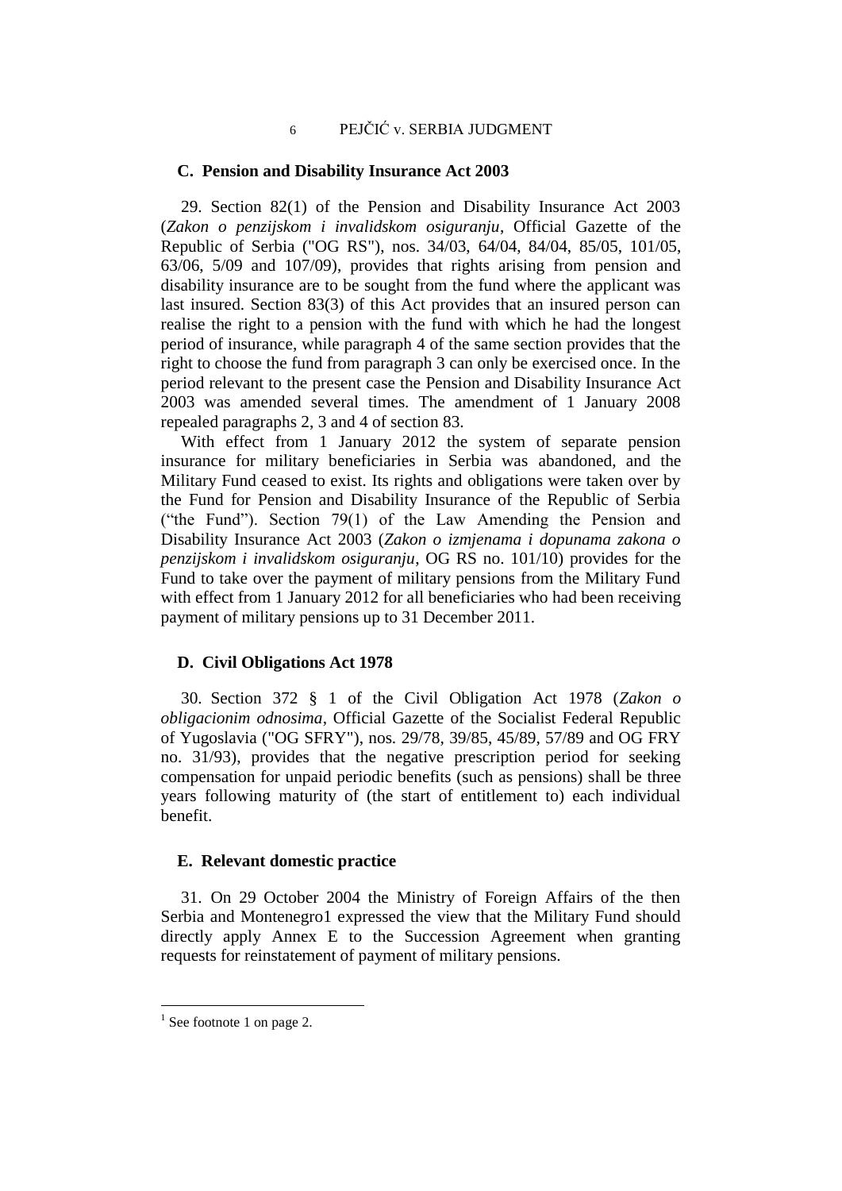# 6 PEJČIĆ v. SERBIA JUDGMENT

## **C. Pension and Disability Insurance Act 2003**

29. Section 82(1) of the Pension and Disability Insurance Act 2003 (*Zakon o penzijskom i invalidskom osiguranju*, Official Gazette of the Republic of Serbia ("OG RS"), nos. 34/03, 64/04, 84/04, 85/05, 101/05, 63/06, 5/09 and 107/09), provides that rights arising from pension and disability insurance are to be sought from the fund where the applicant was last insured. Section 83(3) of this Act provides that an insured person can realise the right to a pension with the fund with which he had the longest period of insurance, while paragraph 4 of the same section provides that the right to choose the fund from paragraph 3 can only be exercised once. In the period relevant to the present case the Pension and Disability Insurance Act 2003 was amended several times. The amendment of 1 January 2008 repealed paragraphs 2, 3 and 4 of section 83.

With effect from 1 January 2012 the system of separate pension insurance for military beneficiaries in Serbia was abandoned, and the Military Fund ceased to exist. Its rights and obligations were taken over by the Fund for Pension and Disability Insurance of the Republic of Serbia ("the Fund"). Section 79(1) of the Law Amending the Pension and Disability Insurance Act 2003 (*Zakon o izmjenama i dopunama zakona o penzijskom i invalidskom osiguranju*, OG RS no. 101/10) provides for the Fund to take over the payment of military pensions from the Military Fund with effect from 1 January 2012 for all beneficiaries who had been receiving payment of military pensions up to 31 December 2011.

## **D. Civil Obligations Act 1978**

30. Section 372 § 1 of the Civil Obligation Act 1978 (*Zakon o obligacionim odnosima*, Official Gazette of the Socialist Federal Republic of Yugoslavia ("OG SFRY"), nos. 29/78, 39/85, 45/89, 57/89 and OG FRY no. 31/93), provides that the negative prescription period for seeking compensation for unpaid periodic benefits (such as pensions) shall be three years following maturity of (the start of entitlement to) each individual benefit.

## **E. Relevant domestic practice**

31. On 29 October 2004 the Ministry of Foreign Affairs of the then Serbia and Montenegro1 expressed the view that the Military Fund should directly apply Annex E to the Succession Agreement when granting requests for reinstatement of payment of military pensions.

<sup>&</sup>lt;sup>1</sup> See footnote 1 on page 2.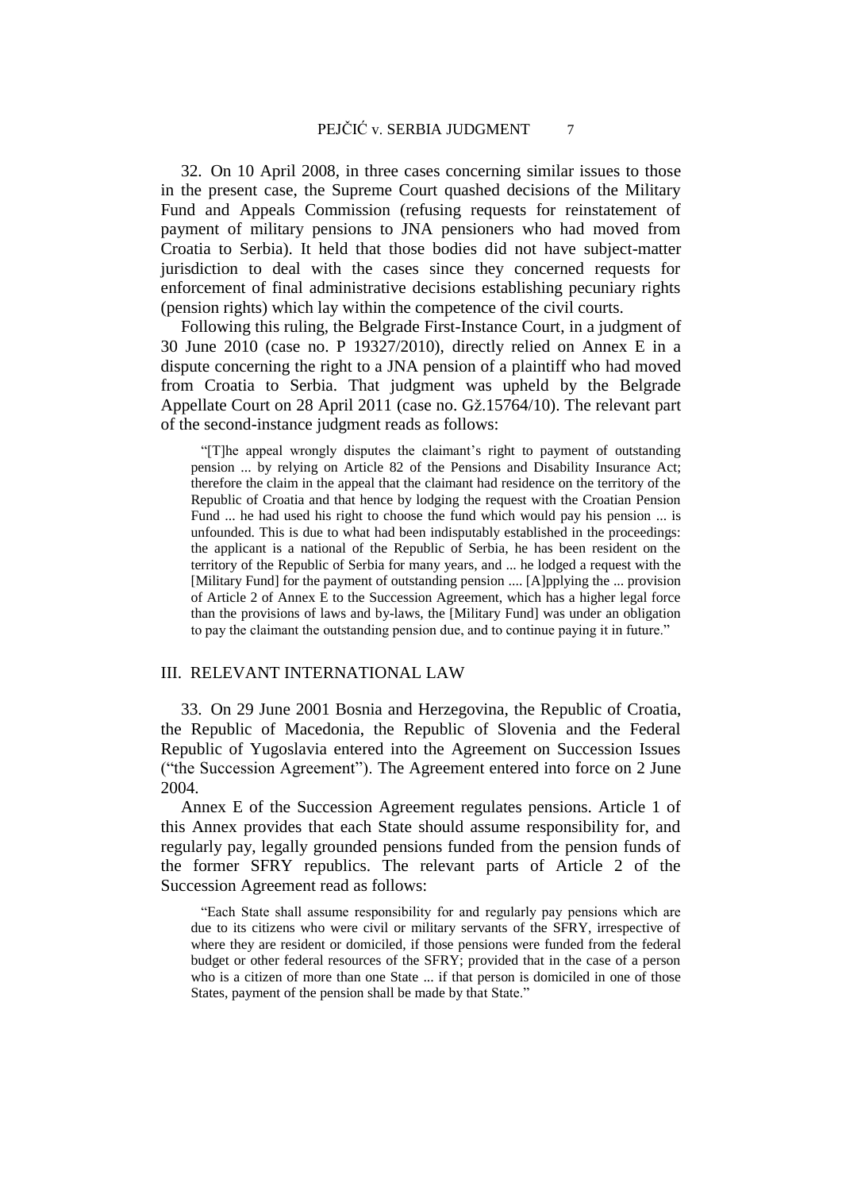32. On 10 April 2008, in three cases concerning similar issues to those in the present case, the Supreme Court quashed decisions of the Military Fund and Appeals Commission (refusing requests for reinstatement of payment of military pensions to JNA pensioners who had moved from Croatia to Serbia). It held that those bodies did not have subject-matter jurisdiction to deal with the cases since they concerned requests for enforcement of final administrative decisions establishing pecuniary rights (pension rights) which lay within the competence of the civil courts.

Following this ruling, the Belgrade First-Instance Court, in a judgment of 30 June 2010 (case no. P 19327/2010), directly relied on Annex E in a dispute concerning the right to a JNA pension of a plaintiff who had moved from Croatia to Serbia. That judgment was upheld by the Belgrade Appellate Court on 28 April 2011 (case no. Gž.15764/10). The relevant part of the second-instance judgment reads as follows:

"[T]he appeal wrongly disputes the claimant's right to payment of outstanding pension ... by relying on Article 82 of the Pensions and Disability Insurance Act; therefore the claim in the appeal that the claimant had residence on the territory of the Republic of Croatia and that hence by lodging the request with the Croatian Pension Fund ... he had used his right to choose the fund which would pay his pension ... is unfounded. This is due to what had been indisputably established in the proceedings: the applicant is a national of the Republic of Serbia, he has been resident on the territory of the Republic of Serbia for many years, and ... he lodged a request with the [Military Fund] for the payment of outstanding pension .... [A]pplying the ... provision of Article 2 of Annex E to the Succession Agreement, which has a higher legal force than the provisions of laws and by-laws, the [Military Fund] was under an obligation to pay the claimant the outstanding pension due, and to continue paying it in future."

# III. RELEVANT INTERNATIONAL LAW

33. On 29 June 2001 Bosnia and Herzegovina, the Republic of Croatia, the Republic of Macedonia, the Republic of Slovenia and the Federal Republic of Yugoslavia entered into the Agreement on Succession Issues ("the Succession Agreement"). The Agreement entered into force on 2 June 2004.

Annex E of the Succession Agreement regulates pensions. Article 1 of this Annex provides that each State should assume responsibility for, and regularly pay, legally grounded pensions funded from the pension funds of the former SFRY republics. The relevant parts of Article 2 of the Succession Agreement read as follows:

"Each State shall assume responsibility for and regularly pay pensions which are due to its citizens who were civil or military servants of the SFRY, irrespective of where they are resident or domiciled, if those pensions were funded from the federal budget or other federal resources of the SFRY; provided that in the case of a person who is a citizen of more than one State ... if that person is domiciled in one of those States, payment of the pension shall be made by that State."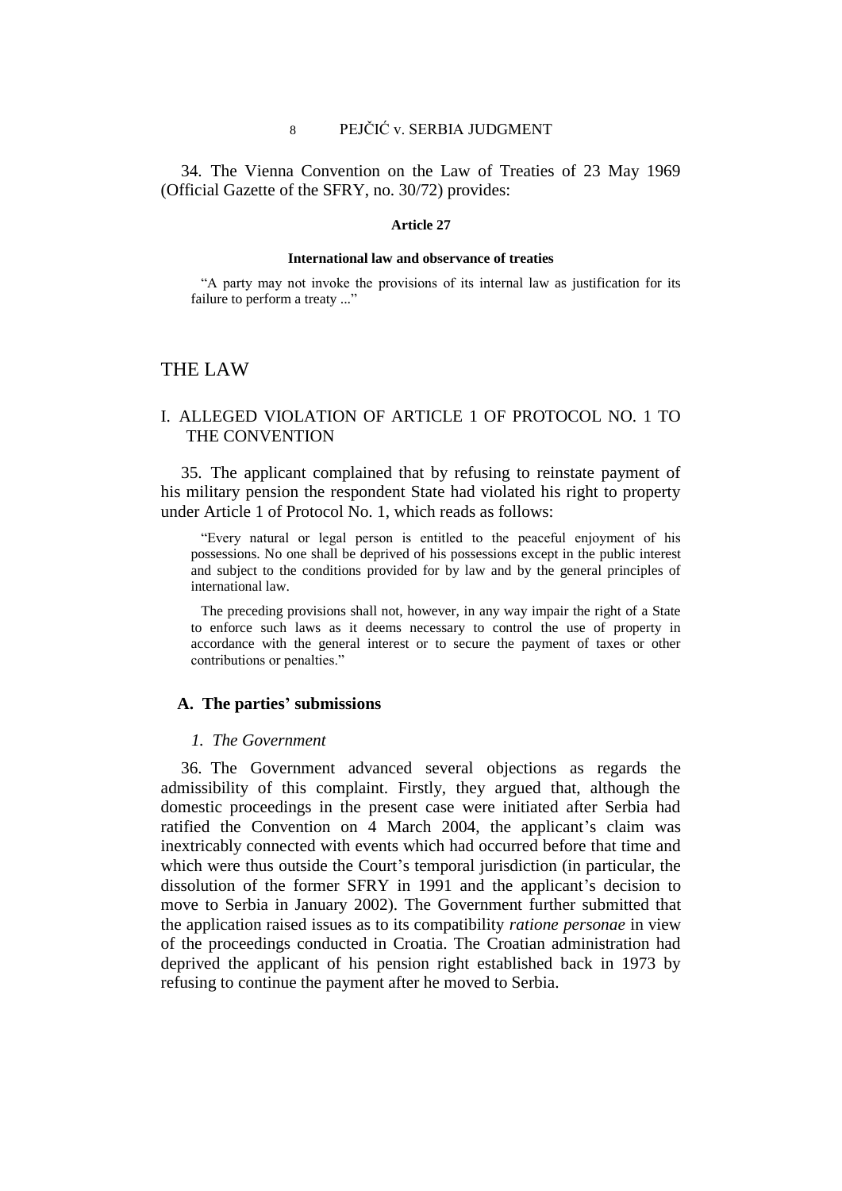#### 8 PEJČIĆ v. SERBIA JUDGMENT

34. The Vienna Convention on the Law of Treaties of 23 May 1969 (Official Gazette of the SFRY, no. 30/72) provides:

#### **Article 27**

#### **International law and observance of treaties**

"A party may not invoke the provisions of its internal law as justification for its failure to perform a treaty ..."

# THE LAW

# I. ALLEGED VIOLATION OF ARTICLE 1 OF PROTOCOL NO. 1 TO THE CONVENTION

35. The applicant complained that by refusing to reinstate payment of his military pension the respondent State had violated his right to property under Article 1 of Protocol No. 1, which reads as follows:

"Every natural or legal person is entitled to the peaceful enjoyment of his possessions. No one shall be deprived of his possessions except in the public interest and subject to the conditions provided for by law and by the general principles of international law.

The preceding provisions shall not, however, in any way impair the right of a State to enforce such laws as it deems necessary to control the use of property in accordance with the general interest or to secure the payment of taxes or other contributions or penalties."

#### **A. The parties' submissions**

#### *1. The Government*

36. The Government advanced several objections as regards the admissibility of this complaint. Firstly, they argued that, although the domestic proceedings in the present case were initiated after Serbia had ratified the Convention on 4 March 2004, the applicant's claim was inextricably connected with events which had occurred before that time and which were thus outside the Court's temporal jurisdiction (in particular, the dissolution of the former SFRY in 1991 and the applicant's decision to move to Serbia in January 2002). The Government further submitted that the application raised issues as to its compatibility *ratione personae* in view of the proceedings conducted in Croatia. The Croatian administration had deprived the applicant of his pension right established back in 1973 by refusing to continue the payment after he moved to Serbia.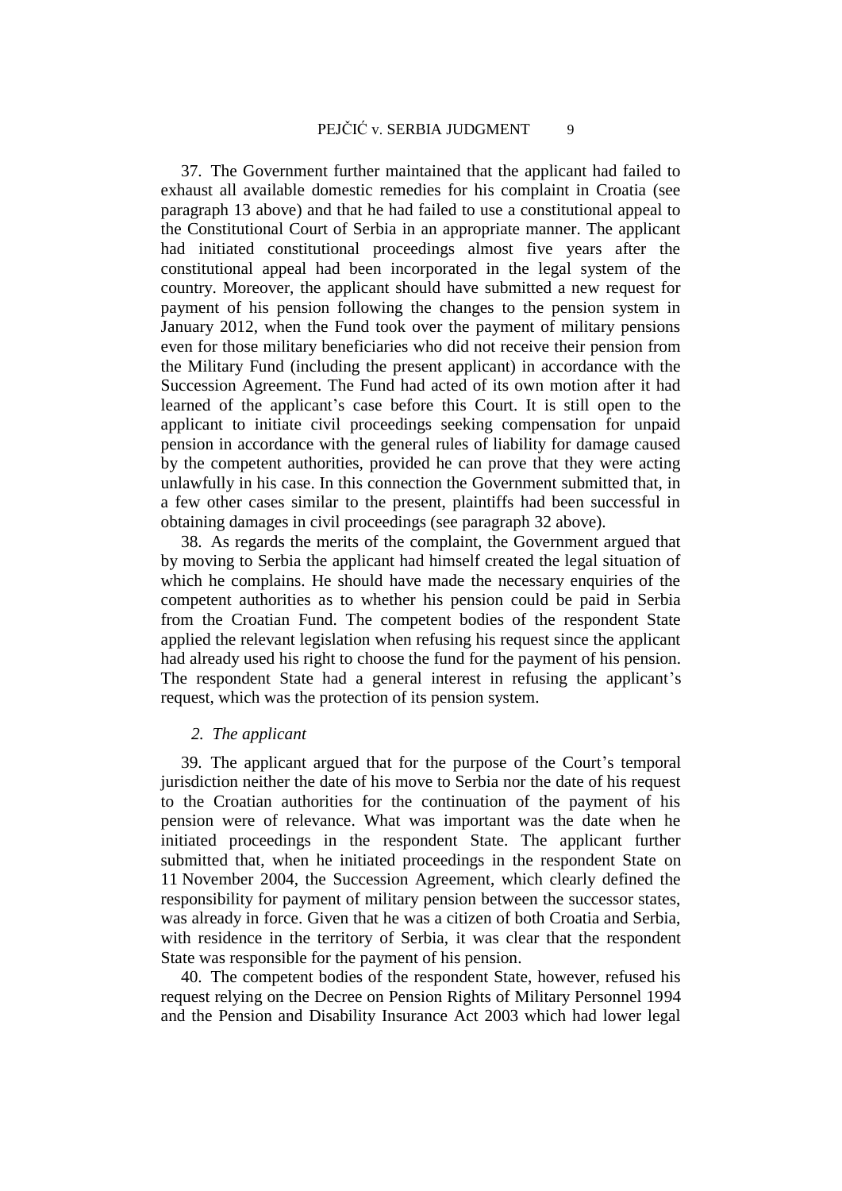37. The Government further maintained that the applicant had failed to exhaust all available domestic remedies for his complaint in Croatia (see paragraph 13 above) and that he had failed to use a constitutional appeal to the Constitutional Court of Serbia in an appropriate manner. The applicant had initiated constitutional proceedings almost five years after the constitutional appeal had been incorporated in the legal system of the country. Moreover, the applicant should have submitted a new request for payment of his pension following the changes to the pension system in January 2012, when the Fund took over the payment of military pensions even for those military beneficiaries who did not receive their pension from the Military Fund (including the present applicant) in accordance with the Succession Agreement. The Fund had acted of its own motion after it had learned of the applicant's case before this Court. It is still open to the applicant to initiate civil proceedings seeking compensation for unpaid pension in accordance with the general rules of liability for damage caused by the competent authorities, provided he can prove that they were acting unlawfully in his case. In this connection the Government submitted that, in a few other cases similar to the present, plaintiffs had been successful in obtaining damages in civil proceedings (see paragraph 32 above).

38. As regards the merits of the complaint, the Government argued that by moving to Serbia the applicant had himself created the legal situation of which he complains. He should have made the necessary enquiries of the competent authorities as to whether his pension could be paid in Serbia from the Croatian Fund. The competent bodies of the respondent State applied the relevant legislation when refusing his request since the applicant had already used his right to choose the fund for the payment of his pension. The respondent State had a general interest in refusing the applicant's request, which was the protection of its pension system.

## *2. The applicant*

39. The applicant argued that for the purpose of the Court's temporal jurisdiction neither the date of his move to Serbia nor the date of his request to the Croatian authorities for the continuation of the payment of his pension were of relevance. What was important was the date when he initiated proceedings in the respondent State. The applicant further submitted that, when he initiated proceedings in the respondent State on 11 November 2004, the Succession Agreement, which clearly defined the responsibility for payment of military pension between the successor states, was already in force. Given that he was a citizen of both Croatia and Serbia, with residence in the territory of Serbia, it was clear that the respondent State was responsible for the payment of his pension.

40. The competent bodies of the respondent State, however, refused his request relying on the Decree on Pension Rights of Military Personnel 1994 and the Pension and Disability Insurance Act 2003 which had lower legal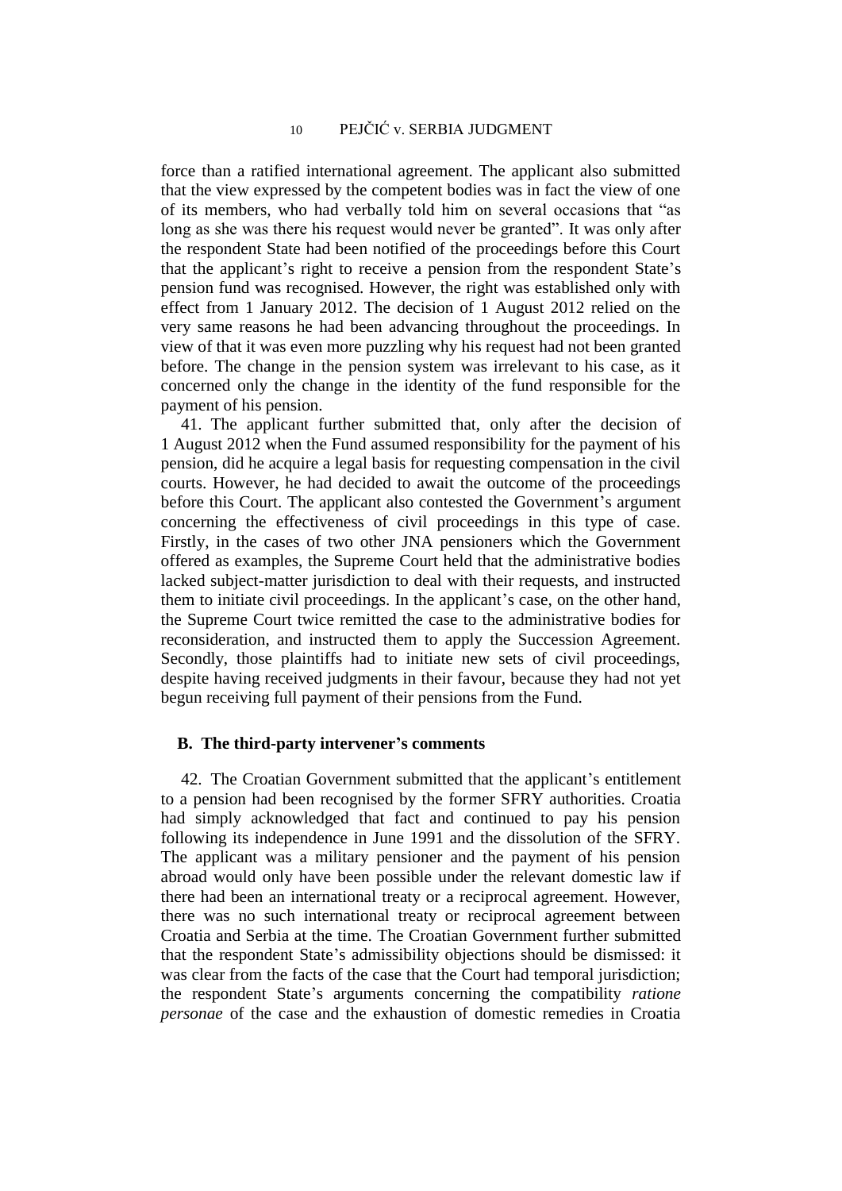force than a ratified international agreement. The applicant also submitted that the view expressed by the competent bodies was in fact the view of one of its members, who had verbally told him on several occasions that "as long as she was there his request would never be granted". It was only after the respondent State had been notified of the proceedings before this Court that the applicant's right to receive a pension from the respondent State's pension fund was recognised. However, the right was established only with effect from 1 January 2012. The decision of 1 August 2012 relied on the very same reasons he had been advancing throughout the proceedings. In view of that it was even more puzzling why his request had not been granted before. The change in the pension system was irrelevant to his case, as it concerned only the change in the identity of the fund responsible for the payment of his pension.

41. The applicant further submitted that, only after the decision of 1 August 2012 when the Fund assumed responsibility for the payment of his pension, did he acquire a legal basis for requesting compensation in the civil courts. However, he had decided to await the outcome of the proceedings before this Court. The applicant also contested the Government's argument concerning the effectiveness of civil proceedings in this type of case. Firstly, in the cases of two other JNA pensioners which the Government offered as examples, the Supreme Court held that the administrative bodies lacked subject-matter jurisdiction to deal with their requests, and instructed them to initiate civil proceedings. In the applicant's case, on the other hand, the Supreme Court twice remitted the case to the administrative bodies for reconsideration, and instructed them to apply the Succession Agreement. Secondly, those plaintiffs had to initiate new sets of civil proceedings, despite having received judgments in their favour, because they had not yet begun receiving full payment of their pensions from the Fund.

### **B. The third-party intervener's comments**

42. The Croatian Government submitted that the applicant's entitlement to a pension had been recognised by the former SFRY authorities. Croatia had simply acknowledged that fact and continued to pay his pension following its independence in June 1991 and the dissolution of the SFRY. The applicant was a military pensioner and the payment of his pension abroad would only have been possible under the relevant domestic law if there had been an international treaty or a reciprocal agreement. However, there was no such international treaty or reciprocal agreement between Croatia and Serbia at the time. The Croatian Government further submitted that the respondent State's admissibility objections should be dismissed: it was clear from the facts of the case that the Court had temporal jurisdiction; the respondent State's arguments concerning the compatibility *ratione personae* of the case and the exhaustion of domestic remedies in Croatia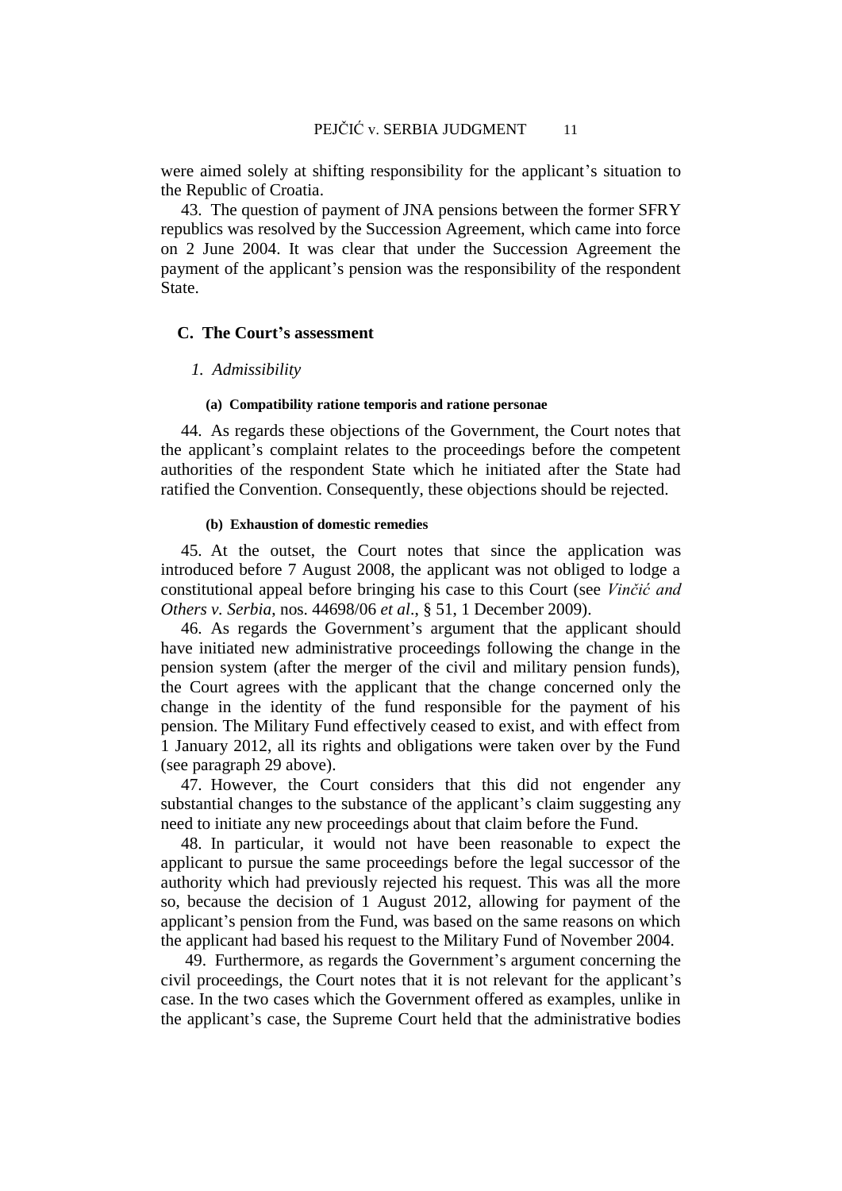were aimed solely at shifting responsibility for the applicant's situation to the Republic of Croatia.

43. The question of payment of JNA pensions between the former SFRY republics was resolved by the Succession Agreement, which came into force on 2 June 2004. It was clear that under the Succession Agreement the payment of the applicant's pension was the responsibility of the respondent State.

#### **C. The Court's assessment**

#### *1. Admissibility*

#### **(a) Compatibility ratione temporis and ratione personae**

44. As regards these objections of the Government, the Court notes that the applicant's complaint relates to the proceedings before the competent authorities of the respondent State which he initiated after the State had ratified the Convention. Consequently, these objections should be rejected.

#### **(b) Exhaustion of domestic remedies**

45. At the outset, the Court notes that since the application was introduced before 7 August 2008, the applicant was not obliged to lodge a constitutional appeal before bringing his case to this Court (see *Vinčić and Others v. Serbia*, nos. 44698/06 *et al*., § 51, 1 December 2009).

46. As regards the Government's argument that the applicant should have initiated new administrative proceedings following the change in the pension system (after the merger of the civil and military pension funds), the Court agrees with the applicant that the change concerned only the change in the identity of the fund responsible for the payment of his pension. The Military Fund effectively ceased to exist, and with effect from 1 January 2012, all its rights and obligations were taken over by the Fund (see paragraph 29 above).

47. However, the Court considers that this did not engender any substantial changes to the substance of the applicant's claim suggesting any need to initiate any new proceedings about that claim before the Fund.

48. In particular, it would not have been reasonable to expect the applicant to pursue the same proceedings before the legal successor of the authority which had previously rejected his request. This was all the more so, because the decision of 1 August 2012, allowing for payment of the applicant's pension from the Fund, was based on the same reasons on which the applicant had based his request to the Military Fund of November 2004.

49. Furthermore, as regards the Government's argument concerning the civil proceedings, the Court notes that it is not relevant for the applicant's case. In the two cases which the Government offered as examples, unlike in the applicant's case, the Supreme Court held that the administrative bodies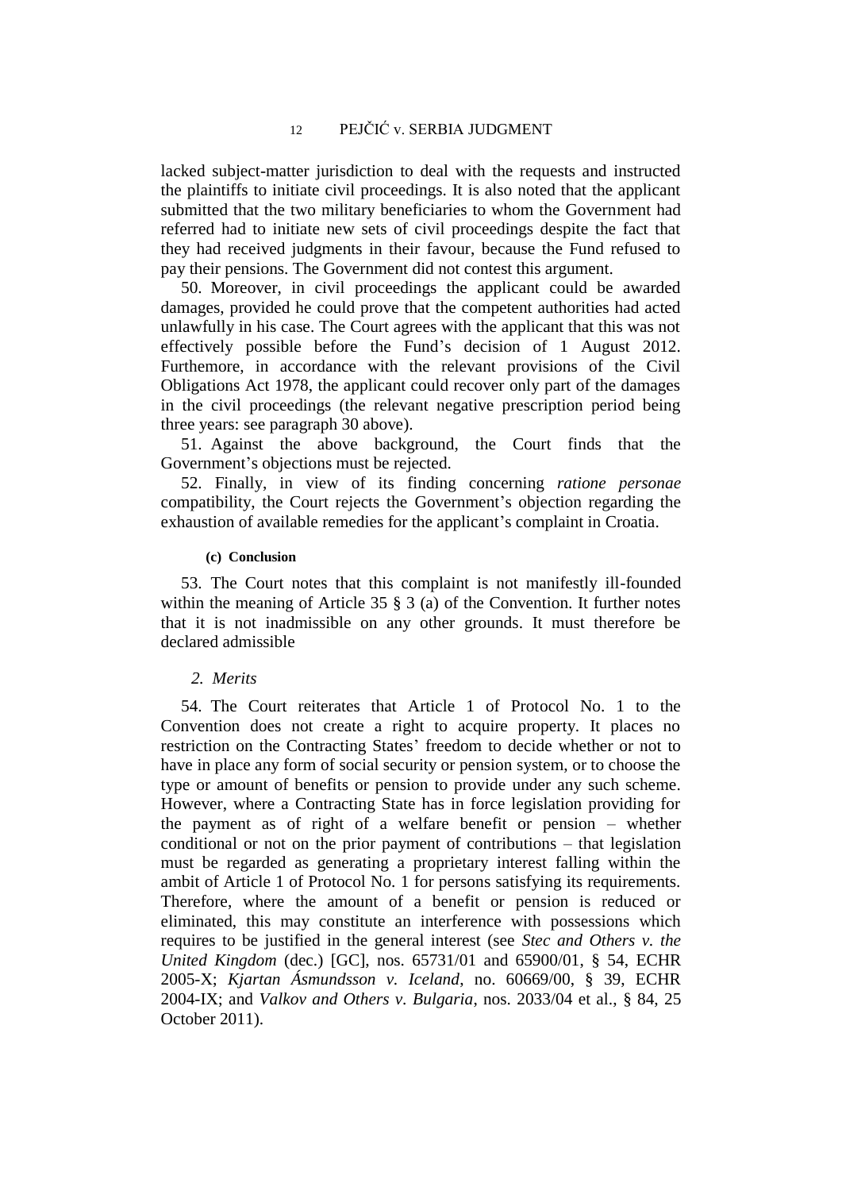lacked subject-matter jurisdiction to deal with the requests and instructed the plaintiffs to initiate civil proceedings. It is also noted that the applicant submitted that the two military beneficiaries to whom the Government had referred had to initiate new sets of civil proceedings despite the fact that they had received judgments in their favour, because the Fund refused to pay their pensions. The Government did not contest this argument.

50. Moreover, in civil proceedings the applicant could be awarded damages, provided he could prove that the competent authorities had acted unlawfully in his case. The Court agrees with the applicant that this was not effectively possible before the Fund's decision of 1 August 2012. Furthemore, in accordance with the relevant provisions of the Civil Obligations Act 1978, the applicant could recover only part of the damages in the civil proceedings (the relevant negative prescription period being three years: see paragraph 30 above).

51. Against the above background, the Court finds that the Government's objections must be rejected.

52. Finally, in view of its finding concerning *ratione personae* compatibility, the Court rejects the Government's objection regarding the exhaustion of available remedies for the applicant's complaint in Croatia.

#### **(c) Conclusion**

53. The Court notes that this complaint is not manifestly ill-founded within the meaning of Article 35 § 3 (a) of the Convention. It further notes that it is not inadmissible on any other grounds. It must therefore be declared admissible

## *2. Merits*

54. The Court reiterates that Article 1 of Protocol No. 1 to the Convention does not create a right to acquire property. It places no restriction on the Contracting States' freedom to decide whether or not to have in place any form of social security or pension system, or to choose the type or amount of benefits or pension to provide under any such scheme. However, where a Contracting State has in force legislation providing for the payment as of right of a welfare benefit or pension – whether conditional or not on the prior payment of contributions – that legislation must be regarded as generating a proprietary interest falling within the ambit of Article 1 of Protocol No. 1 for persons satisfying its requirements. Therefore, where the amount of a benefit or pension is reduced or eliminated, this may constitute an interference with possessions which requires to be justified in the general interest (see *Stec and Others v. the United Kingdom* (dec.) [GC], nos. 65731/01 and 65900/01, § 54, ECHR 2005-X; *Kjartan Ásmundsson v. Iceland*, no. 60669/00, § 39, ECHR 2004-IX; and *Valkov and Others v. Bulgaria*, nos. 2033/04 et al., § 84, 25 October 2011).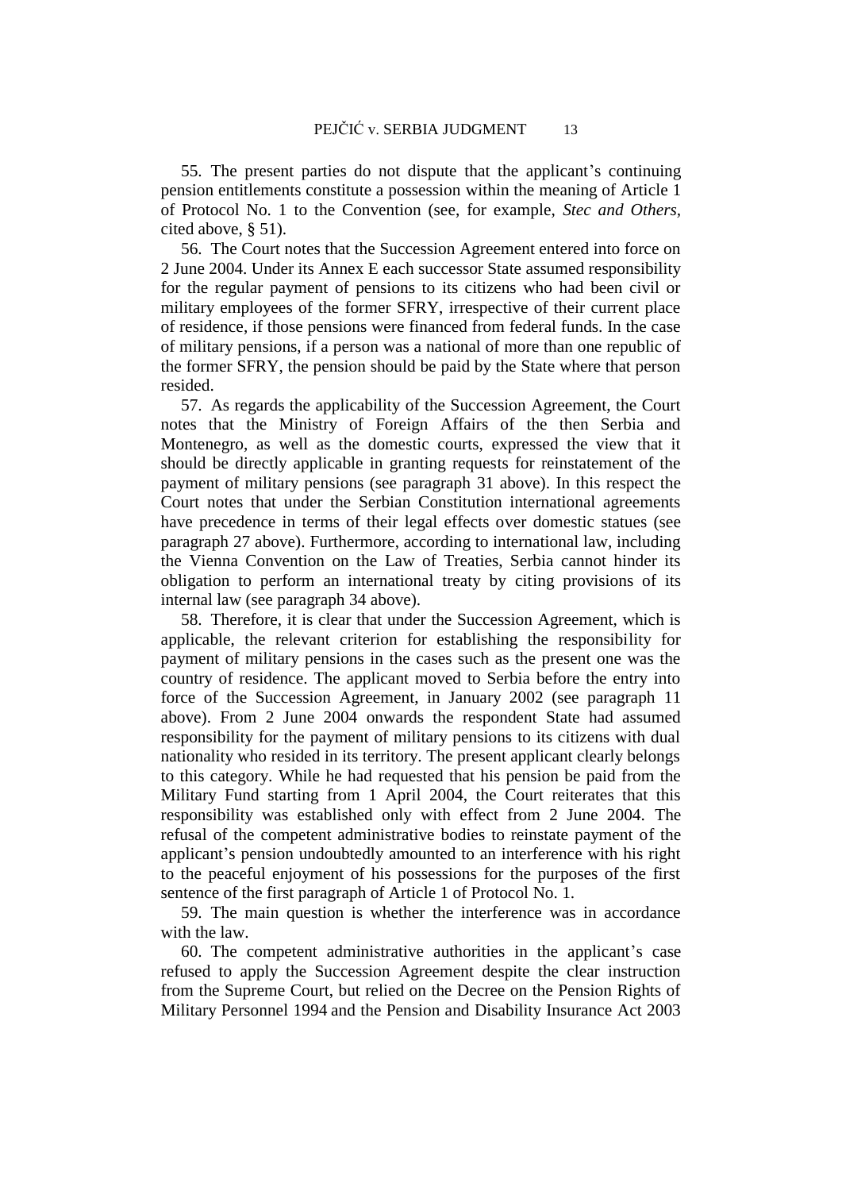55. The present parties do not dispute that the applicant's continuing pension entitlements constitute a possession within the meaning of Article 1 of Protocol No. 1 to the Convention (see, for example, *Stec and Others,*  cited above, § 51).

56. The Court notes that the Succession Agreement entered into force on 2 June 2004. Under its Annex E each successor State assumed responsibility for the regular payment of pensions to its citizens who had been civil or military employees of the former SFRY, irrespective of their current place of residence, if those pensions were financed from federal funds. In the case of military pensions, if a person was a national of more than one republic of the former SFRY, the pension should be paid by the State where that person resided.

57. As regards the applicability of the Succession Agreement, the Court notes that the Ministry of Foreign Affairs of the then Serbia and Montenegro, as well as the domestic courts, expressed the view that it should be directly applicable in granting requests for reinstatement of the payment of military pensions (see paragraph 31 above). In this respect the Court notes that under the Serbian Constitution international agreements have precedence in terms of their legal effects over domestic statues (see paragraph 27 above). Furthermore, according to international law, including the Vienna Convention on the Law of Treaties, Serbia cannot hinder its obligation to perform an international treaty by citing provisions of its internal law (see paragraph 34 above).

58. Therefore, it is clear that under the Succession Agreement, which is applicable, the relevant criterion for establishing the responsibility for payment of military pensions in the cases such as the present one was the country of residence. The applicant moved to Serbia before the entry into force of the Succession Agreement, in January 2002 (see paragraph 11 above). From 2 June 2004 onwards the respondent State had assumed responsibility for the payment of military pensions to its citizens with dual nationality who resided in its territory. The present applicant clearly belongs to this category. While he had requested that his pension be paid from the Military Fund starting from 1 April 2004, the Court reiterates that this responsibility was established only with effect from 2 June 2004. The refusal of the competent administrative bodies to reinstate payment of the applicant's pension undoubtedly amounted to an interference with his right to the peaceful enjoyment of his possessions for the purposes of the first sentence of the first paragraph of Article 1 of Protocol No. 1.

59. The main question is whether the interference was in accordance with the law.

60. The competent administrative authorities in the applicant's case refused to apply the Succession Agreement despite the clear instruction from the Supreme Court, but relied on the Decree on the Pension Rights of Military Personnel 1994 and the Pension and Disability Insurance Act 2003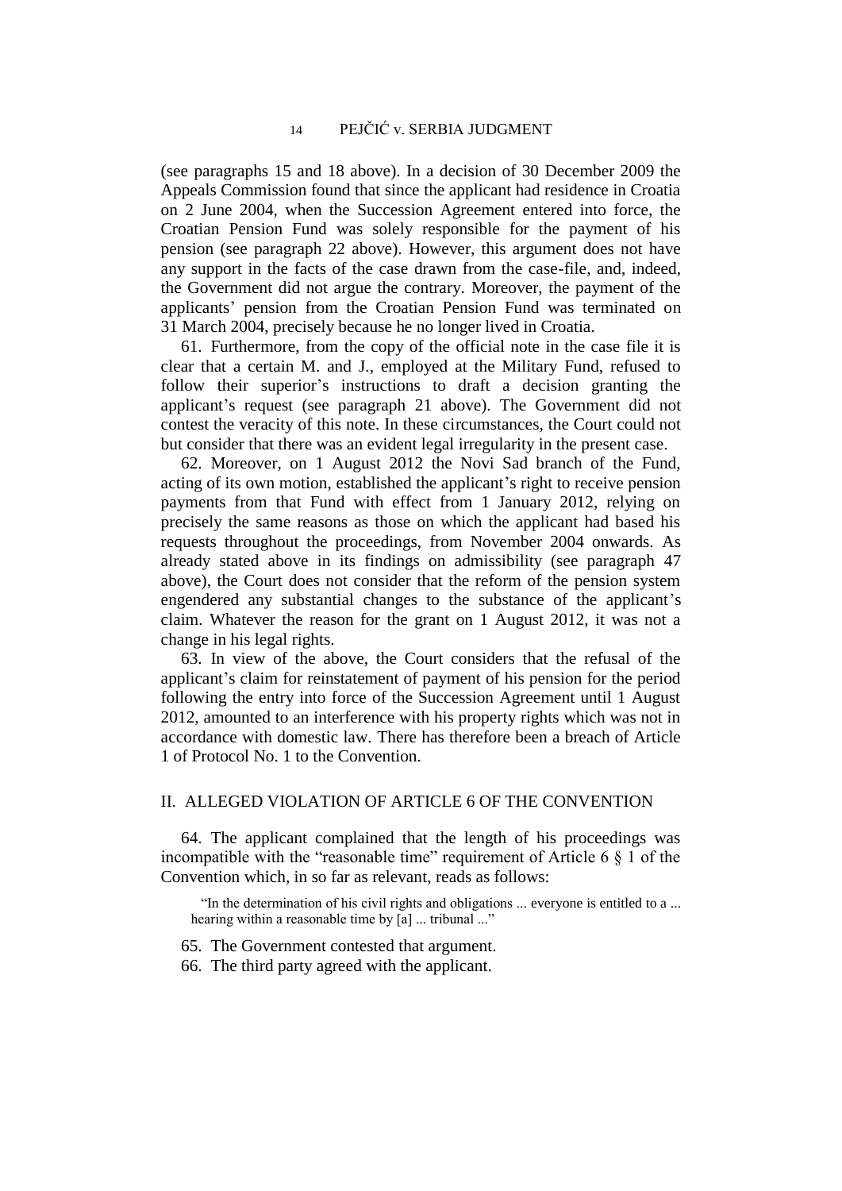(see paragraphs 15 and 18 above). In a decision of 30 December 2009 the Appeals Commission found that since the applicant had residence in Croatia on 2 June 2004, when the Succession Agreement entered into force, the Croatian Pension Fund was solely responsible for the payment of his pension (see paragraph 22 above). However, this argument does not have any support in the facts of the case drawn from the case-file, and, indeed, the Government did not argue the contrary. Moreover, the payment of the applicants' pension from the Croatian Pension Fund was terminated on 31 March 2004, precisely because he no longer lived in Croatia.

61. Furthermore, from the copy of the official note in the case file it is clear that a certain M. and J., employed at the Military Fund, refused to follow their superior's instructions to draft a decision granting the applicant's request (see paragraph 21 above). The Government did not contest the veracity of this note. In these circumstances, the Court could not but consider that there was an evident legal irregularity in the present case.

62. Moreover, on 1 August 2012 the Novi Sad branch of the Fund, acting of its own motion, established the applicant's right to receive pension payments from that Fund with effect from 1 January 2012, relying on precisely the same reasons as those on which the applicant had based his requests throughout the proceedings, from November 2004 onwards. As already stated above in its findings on admissibility (see paragraph 47 above), the Court does not consider that the reform of the pension system engendered any substantial changes to the substance of the applicant's claim. Whatever the reason for the grant on 1 August 2012, it was not a change in his legal rights.

63. In view of the above, the Court considers that the refusal of the applicant's claim for reinstatement of payment of his pension for the period following the entry into force of the Succession Agreement until 1 August 2012, amounted to an interference with his property rights which was not in accordance with domestic law. There has therefore been a breach of Article 1 of Protocol No. 1 to the Convention.

# II. ALLEGED VIOLATION OF ARTICLE 6 OF THE CONVENTION

64. The applicant complained that the length of his proceedings was incompatible with the "reasonable time" requirement of Article  $6 \S 1$  of the Convention which, in so far as relevant, reads as follows:

"In the determination of his civil rights and obligations ... everyone is entitled to a ... hearing within a reasonable time by [a] ... tribunal ..."

- 65. The Government contested that argument.
- 66. The third party agreed with the applicant.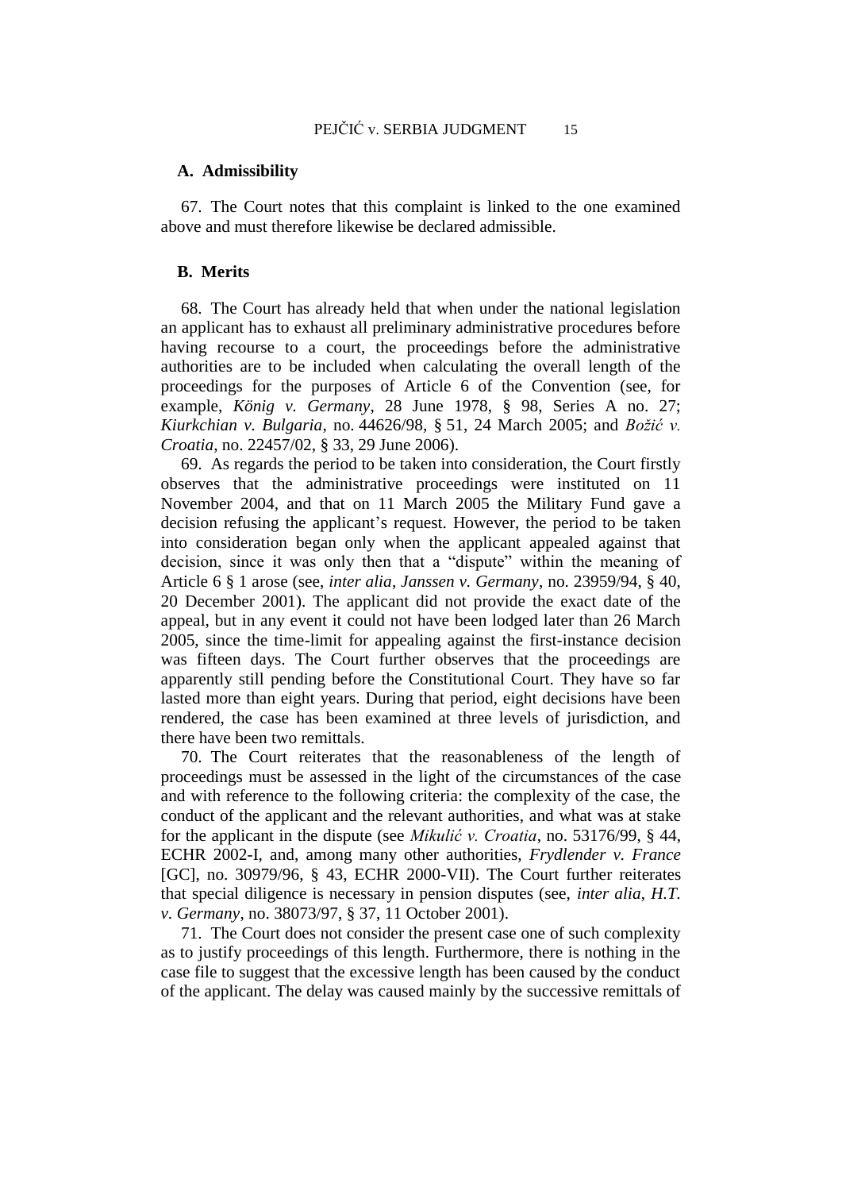#### **A. Admissibility**

67. The Court notes that this complaint is linked to the one examined above and must therefore likewise be declared admissible.

# **B. Merits**

68. The Court has already held that when under the national legislation an applicant has to exhaust all preliminary administrative procedures before having recourse to a court, the proceedings before the administrative authorities are to be included when calculating the overall length of the proceedings for the purposes of Article 6 of the Convention (see, for example, *König v. Germany*, 28 June 1978, § 98, Series A no. 27; *Kiurkchian v. Bulgaria*, no. 44626/98, § 51, 24 March 2005; and *Božić v. Croatia*, no. 22457/02, § 33, 29 June 2006).

69. As regards the period to be taken into consideration, the Court firstly observes that the administrative proceedings were instituted on 11 November 2004, and that on 11 March 2005 the Military Fund gave a decision refusing the applicant's request. However, the period to be taken into consideration began only when the applicant appealed against that decision, since it was only then that a "dispute" within the meaning of Article 6 § 1 arose (see, *inter alia*, *Janssen v. Germany*, no. 23959/94, § 40, 20 December 2001). The applicant did not provide the exact date of the appeal, but in any event it could not have been lodged later than 26 March 2005, since the time-limit for appealing against the first-instance decision was fifteen days. The Court further observes that the proceedings are apparently still pending before the Constitutional Court. They have so far lasted more than eight years. During that period, eight decisions have been rendered, the case has been examined at three levels of jurisdiction, and there have been two remittals.

70. The Court reiterates that the reasonableness of the length of proceedings must be assessed in the light of the circumstances of the case and with reference to the following criteria: the complexity of the case, the conduct of the applicant and the relevant authorities, and what was at stake for the applicant in the dispute (see *Mikulić v. Croatia*, no. 53176/99, § 44, ECHR 2002-I, and, among many other authorities, *Frydlender v. France* [GC], no. 30979/96, § 43, ECHR 2000-VII). The Court further reiterates that special diligence is necessary in pension disputes (see, *inter alia*, *H.T. v. Germany*, no. 38073/97, § 37, 11 October 2001).

71. The Court does not consider the present case one of such complexity as to justify proceedings of this length. Furthermore, there is nothing in the case file to suggest that the excessive length has been caused by the conduct of the applicant. The delay was caused mainly by the successive remittals of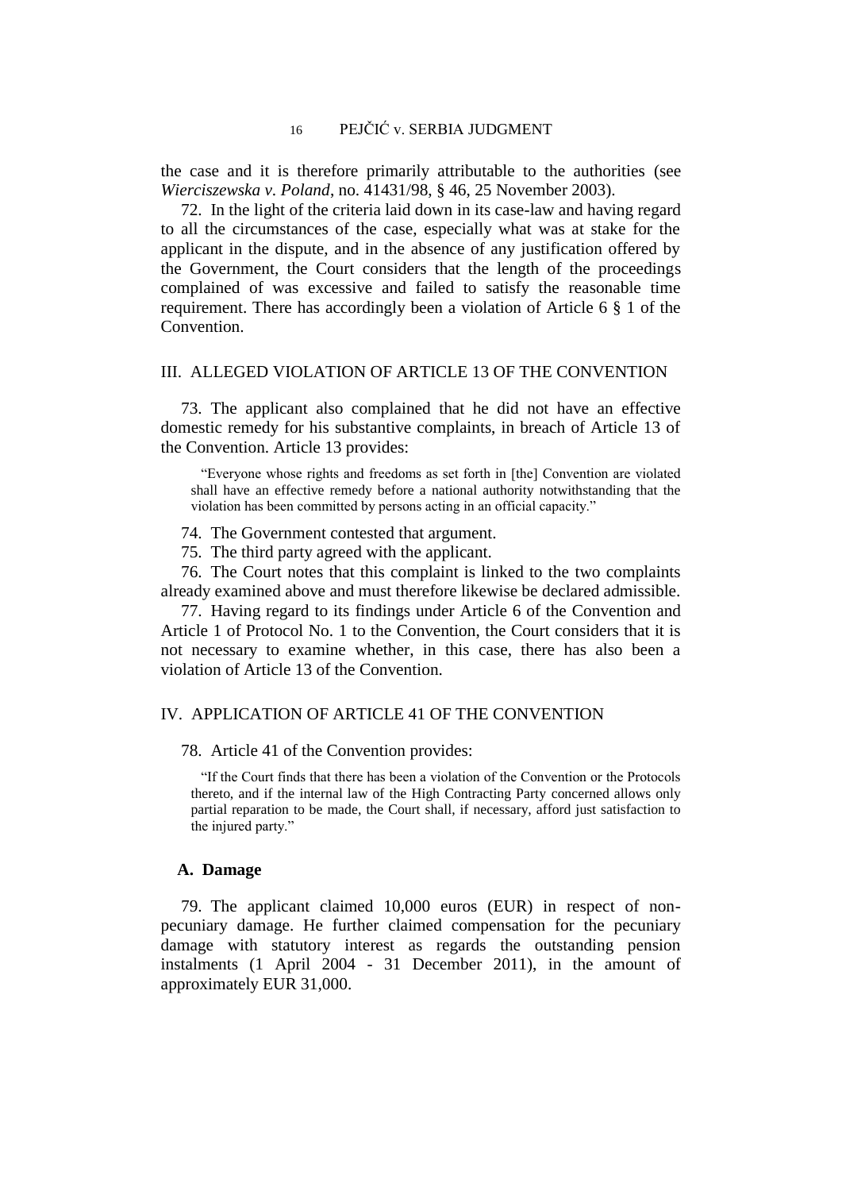16 PEJČIĆ v. SERBIA JUDGMENT

the case and it is therefore primarily attributable to the authorities (see *Wierciszewska v. Poland*, no. 41431/98, § 46, 25 November 2003).

72. In the light of the criteria laid down in its case-law and having regard to all the circumstances of the case, especially what was at stake for the applicant in the dispute, and in the absence of any justification offered by the Government, the Court considers that the length of the proceedings complained of was excessive and failed to satisfy the reasonable time requirement. There has accordingly been a violation of Article 6 § 1 of the Convention.

## III. ALLEGED VIOLATION OF ARTICLE 13 OF THE CONVENTION

73. The applicant also complained that he did not have an effective domestic remedy for his substantive complaints, in breach of Article 13 of the Convention. Article 13 provides:

"Everyone whose rights and freedoms as set forth in [the] Convention are violated shall have an effective remedy before a national authority notwithstanding that the violation has been committed by persons acting in an official capacity."

74. The Government contested that argument.

75. The third party agreed with the applicant.

76. The Court notes that this complaint is linked to the two complaints already examined above and must therefore likewise be declared admissible.

77. Having regard to its findings under Article 6 of the Convention and Article 1 of Protocol No. 1 to the Convention, the Court considers that it is not necessary to examine whether, in this case, there has also been a violation of Article 13 of the Convention.

## IV. APPLICATION OF ARTICLE 41 OF THE CONVENTION

78. Article 41 of the Convention provides:

"If the Court finds that there has been a violation of the Convention or the Protocols thereto, and if the internal law of the High Contracting Party concerned allows only partial reparation to be made, the Court shall, if necessary, afford just satisfaction to the injured party."

#### **A. Damage**

79. The applicant claimed 10,000 euros (EUR) in respect of nonpecuniary damage. He further claimed compensation for the pecuniary damage with statutory interest as regards the outstanding pension instalments (1 April 2004 - 31 December 2011), in the amount of approximately EUR 31,000.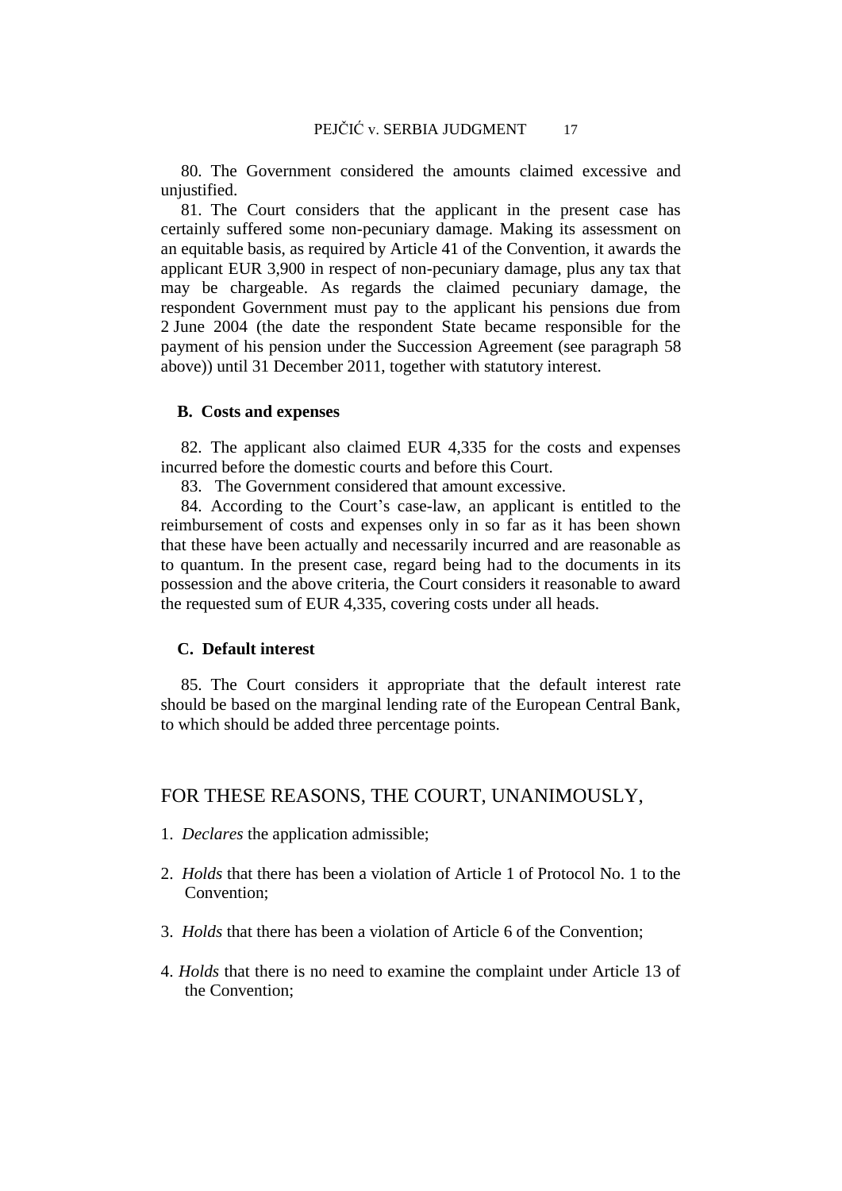80. The Government considered the amounts claimed excessive and unjustified.

81. The Court considers that the applicant in the present case has certainly suffered some non-pecuniary damage. Making its assessment on an equitable basis, as required by Article 41 of the Convention, it awards the applicant EUR 3,900 in respect of non-pecuniary damage, plus any tax that may be chargeable. As regards the claimed pecuniary damage, the respondent Government must pay to the applicant his pensions due from 2 June 2004 (the date the respondent State became responsible for the payment of his pension under the Succession Agreement (see paragraph 58 above)) until 31 December 2011, together with statutory interest.

## **B. Costs and expenses**

82. The applicant also claimed EUR 4,335 for the costs and expenses incurred before the domestic courts and before this Court.

83. The Government considered that amount excessive.

84. According to the Court's case-law, an applicant is entitled to the reimbursement of costs and expenses only in so far as it has been shown that these have been actually and necessarily incurred and are reasonable as to quantum. In the present case, regard being had to the documents in its possession and the above criteria, the Court considers it reasonable to award the requested sum of EUR 4,335, covering costs under all heads.

#### **C. Default interest**

85. The Court considers it appropriate that the default interest rate should be based on the marginal lending rate of the European Central Bank, to which should be added three percentage points.

# FOR THESE REASONS, THE COURT, UNANIMOUSLY,

- 1. *Declares* the application admissible;
- 2. *Holds* that there has been a violation of Article 1 of Protocol No. 1 to the Convention;
- 3. *Holds* that there has been a violation of Article 6 of the Convention;
- 4. *Holds* that there is no need to examine the complaint under Article 13 of the Convention;